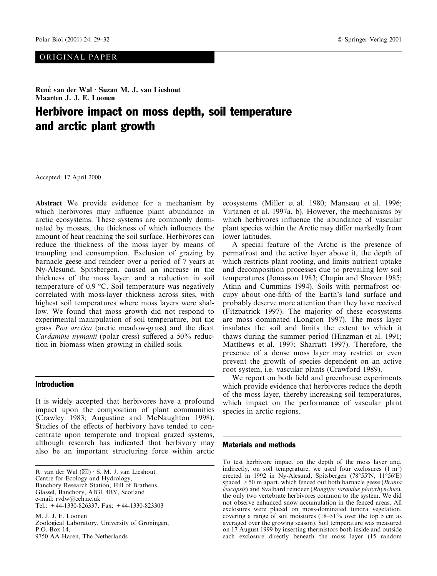## ORIGINAL PAPER

René van der Wal · Suzan M. J. van Lieshout Maarten J. J. E. Loonen

# Herbivore impact on moss depth, soil temperature and arctic plant growth

Accepted: 17 April 2000

Abstract We provide evidence for a mechanism by which herbivores may influence plant abundance in arctic ecosystems. These systems are commonly dominated by mosses, the thickness of which influences the amount of heat reaching the soil surface. Herbivores can reduce the thickness of the moss layer by means of trampling and consumption. Exclusion of grazing by barnacle geese and reindeer over a period of 7 years at Ny-Alesund, Spitsbergen, caused an increase in the thickness of the moss layer, and a reduction in soil temperature of 0.9 °C. Soil temperature was negatively correlated with moss-layer thickness across sites, with highest soil temperatures where moss layers were shallow. We found that moss growth did not respond to experimental manipulation of soil temperature, but the grass *Poa arctica* (arctic meadow-grass) and the dicot Cardamine nymanii (polar cress) suffered a 50% reduction in biomass when growing in chilled soils.

### **Introduction**

It is widely accepted that herbivores have a profound impact upon the composition of plant communities (Crawley 1983; Augustine and McNaughton 1998). Studies of the effects of herbivory have tended to concentrate upon temperate and tropical grazed systems, although research has indicated that herbivory may also be an important structuring force within arctic

R. van der Wal  $(\boxtimes) \cdot S$ . M. J. van Lieshout Centre for Ecology and Hydrology. Banchory Research Station, Hill of Brathens, Glassel, Banchory, AB31 4BY, Scotland e-mail: rvdw@ceh.ac.uk Tel.:  $+44-1330-826337$ . Fax:  $+44-1330-823303$ M. J. J. E. Loonen

Zoological Laboratory, University of Groningen, P.O. Box 14, 9750 AA Haren, The Netherlands

ecosystems (Miller et al. 1980; Manseau et al. 1996; Virtanen et al. 1997a, b). However, the mechanisms by which herbivores influence the abundance of vascular plant species within the Arctic may differ markedly from lower latitudes.

A special feature of the Arctic is the presence of permafrost and the active laver above it, the depth of which restricts plant rooting, and limits nutrient uptake and decomposition processes due to prevailing low soil temperatures (Jonasson 1983; Chapin and Shaver 1985; Atkin and Cummins 1994). Soils with permafrost occupy about one-fifth of the Earth's land surface and probably deserve more attention than they have received (Fitzpatrick 1997). The majority of these ecosystems are moss dominated (Longton 1997). The moss layer insulates the soil and limits the extent to which it thaws during the summer period (Hinzman et al. 1991; Matthews et al. 1997; Sharratt 1997). Therefore, the presence of a dense moss layer may restrict or even prevent the growth of species dependent on an active root system, *i.e.* vascular plants (Crawford 1989).

We report on both field and greenhouse experiments which provide evidence that herbivores reduce the depth of the moss layer, thereby increasing soil temperatures, which impact on the performance of vascular plant species in arctic regions.

#### **Materials and methods**

To test herbivore impact on the depth of the moss layer and, indirectly, on soil temperature, we used four exclosures  $(1 m<sup>2</sup>)$ erected in 1992 in Ny-Ålesund, Spitsbergen (78°55'N, 11°56'E) spaced  $> 50$  m apart, which fenced out both barnacle geese (*Branta* leucopsis) and Svalbard reindeer (Rangifer tarandus platyrhynchus), the only two vertebrate herbivores common to the system. We did not observe enhanced snow accumulation in the fenced areas. All exclosures were placed on moss-dominated tundra vegetation, covering a range of soil moistures (18-51% over the top 5 cm as averaged over the growing season). Soil temperature was measured on 17 August 1999 by inserting thermistors both inside and outside each exclosure directly beneath the moss layer (15 random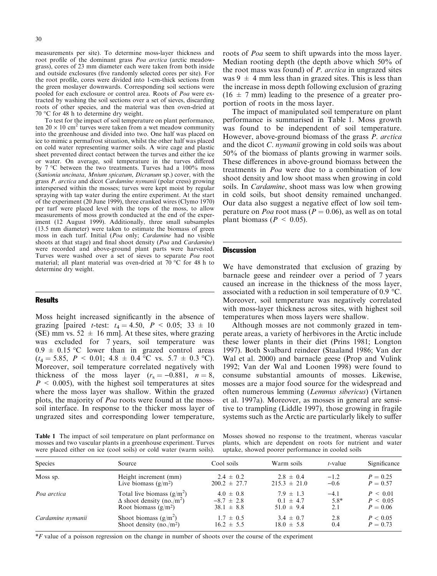measurements per site). To determine moss-layer thickness and root profile of the dominant grass *Poa arctica* (arctic meadowgrass), cores of 23 mm diameter each were taken from both inside and outside exclosures (five randomly selected cores per site). For the root profile, cores were divided into 1-cm-thick sections from the green moslayer downwards. Corresponding soil sections were pooled for each exclosure or control area. Roots of Poa were extracted by washing the soil sections over a set of sieves, discarding roots of other species, and the material was then oven-dried at 70 °C for 48 h to determine dry weight.

To test for the impact of soil temperature on plant performance, ten  $20 \times 10$  cm<sup>2</sup> turves were taken from a wet meadow community into the greenhouse and divided into two. One half was placed on ice to mimic a permafrost situation, whilst the other half was placed on cold water representing warmer soils. A wire cage and plastic sheet prevented direct contact between the turves and either the ice or water. On average, soil temperature in the turves differed by  $7^{\circ}$ C between the two treatments. Turves had a 100% moss (Sanionia uncinata, Mnium spicatum, Dicranum sp.) cover, with the grass P. arctica and dicot Cardamine nymanii (polar cress) growing interspersed within the mosses; turves were kept moist by regular spraying with tap water during the entire experiment. At the start of the experiment (20 June 1999), three cranked wires (Clymo 1970) per turf were placed level with the tops of the moss, to allow measurements of moss growth conducted at the end of the experiment (12 August 1999). Additionally, three small subsamples (13.5 mm diameter) were taken to estimate the biomass of green moss in each turf. Initial (Poa only; Cardamine had no visible shoots at that stage) and final shoot density (*Poa* and *Cardamine*) were recorded and above-ground plant parts were harvested. Turves were washed over a set of sieves to separate Poa root material; all plant material was oven-dried at 70 °C for 48 h to determine dry weight.

#### **Results**

Moss height increased significantly in the absence of grazing [paired *t*-test:  $t_4 = 4.50$ ,  $P < 0.05$ ; 33 ± 10 (SE) mm vs. 52  $\pm$  16 mm]. At these sites, where grazing was excluded for 7 years, soil temperature was  $0.9 \pm 0.15$  °C lower than in grazed control areas  $(t_4 = 5.85, P < 0.01; 4.8 \pm 0.4 \degree C \text{ vs. } 5.7 \pm 0.3 \degree C).$ Moreover, soil temperature correlated negatively with thickness of the moss layer  $(r_s = -0.881, n = 8,$  $P \leq 0.005$ , with the highest soil temperatures at sites where the moss layer was shallow. Within the grazed plots, the majority of *Poa* roots were found at the mosssoil interface. In response to the thicker moss layer of ungrazed sites and corresponding lower temperature,

roots of *Poa* seem to shift upwards into the moss layer. Median rooting depth (the depth above which 50% of the root mass was found) of *P. arctica* in ungrazed sites was 9  $\pm$  4 mm less than in grazed sites. This is less than the increase in moss depth following exclusion of grazing  $(16 \pm 7 \text{ mm})$  leading to the presence of a greater proportion of roots in the moss layer.

The impact of manipulated soil temperature on plant performance is summarised in Table 1. Moss growth was found to be independent of soil temperature. However, above-ground biomass of the grass P. arctica and the dicot *C. nymanii* growing in cold soils was about 50% of the biomass of plants growing in warmer soils. These differences in above-ground biomass between the treatments in *Poa* were due to a combination of low shoot density and low shoot mass when growing in cold soils. In *Cardamine*, shoot mass was low when growing in cold soils, but shoot density remained unchanged. Our data also suggest a negative effect of low soil temperature on *Poa* root mass ( $P = 0.06$ ), as well as on total plant biomass ( $P < 0.05$ ).

## **Discussion**

We have demonstrated that exclusion of grazing by barnacle geese and reindeer over a period of 7 years caused an increase in the thickness of the moss layer, associated with a reduction in soil temperature of 0.9  $^{\circ}$ C. Moreover, soil temperature was negatively correlated with moss-layer thickness across sites, with highest soil temperatures when moss layers were shallow.

Although mosses are not commonly grazed in temperate areas, a variety of herbivores in the Arctic include these lower plants in their diet (Prins 1981; Longton 1997). Both Svalbard reindeer (Staaland 1986; Van der Wal et al. 2000) and barnacle geese (Prop and Vulink 1992; Van der Wal and Loonen 1998) were found to consume substantial amounts of mosses. Likewise, mosses are a major food source for the widespread and often numerous lemming (Lemmus sibericus) (Virtanen et al. 1997a). Moreover, as mosses in general are sensitive to trampling (Liddle 1997), those growing in fragile systems such as the Arctic are particularly likely to suffer

Table 1 The impact of soil temperature on plant performance on mosses and two vascular plants in a greenhouse experiment. Turves were placed either on ice (cool soils) or cold water (warm soils).

Mosses showed no response to the treatment, whereas vascular plants, which are dependent on roots for nutrient and water uptake, showed poorer performance in cooled soils

| <b>Species</b>    | Source                                       | Cool soils       | Warm soils       | t-value | Significance |
|-------------------|----------------------------------------------|------------------|------------------|---------|--------------|
| Moss sp.          | Height increment (mm)                        | $2.4 \pm 0.2$    | $2.8 \pm 0.4$    | $-1.2$  | $P = 0.25$   |
|                   | Live biomass $(g/m^2)$                       | $200.2 \pm 27.7$ | $215.3 \pm 21.0$ | $-0.6$  | $P = 0.57$   |
| Poa arctica       | Total live biomass $(g/m^2)$                 | $4.0 \pm 0.8$    | $7.9 \pm 1.3$    | $-4.1$  | P < 0.01     |
|                   | $\Delta$ shoot density (no./m <sup>2</sup> ) | $-8.7 \pm 2.8$   | $0.1 + 4.7$      | $5.8*$  | P < 0.05     |
|                   | Root biomass $(g/m2)$                        | $38.1 \pm 8.8$   | $51.0 \pm 9.4$   | 2.1     | $P = 0.06$   |
| Cardamine nymanii | Shoot biomass $(g/m^2)$                      | $1.7 \pm 0.5$    | $3.4 \pm 0.7$    | 2.8     | P < 0.05     |
|                   | Shoot density (no./m <sup>2</sup> )          | $16.2 \pm 5.5$   | $18.0 \pm 5.8$   | 0.4     | $P = 0.73$   |

*\*F* value of a poisson regression on the change in number of shoots over the course of the experiment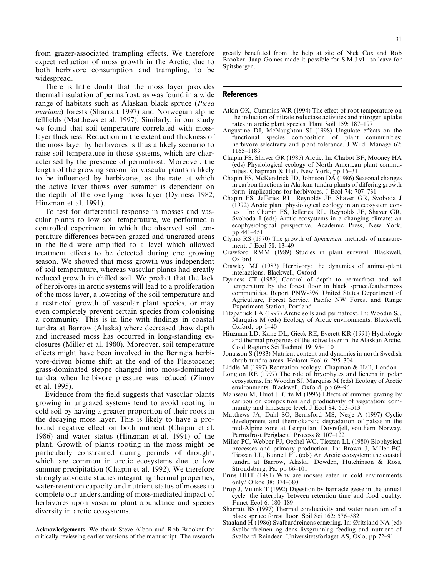from grazer-associated trampling effects. We therefore expect reduction of moss growth in the Arctic, due to both herbivore consumption and trampling, to be widespread.

There is little doubt that the moss layer provides thermal insulation of permafrost, as was found in a wide range of habitats such as Alaskan black spruce (*Picea*) *mariana*) forests (Sharratt 1997) and Norwegian alpine fellfields (Matthews et al. 1997). Similarly, in our study we found that soil temperature correlated with mosslayer thickness. Reduction in the extent and thickness of the moss layer by herbivores is thus a likely scenario to raise soil temperature in those systems, which are characterised by the presence of permafrost. Moreover, the length of the growing season for vascular plants is likely to be influenced by herbivores, as the rate at which the active layer thaws over summer is dependent on the depth of the overlying moss layer (Dyrness 1982; Hinzman et al. 1991).

To test for differential response in mosses and vascular plants to low soil temperature, we performed a controlled experiment in which the observed soil temperature differences between grazed and ungrazed areas in the field were amplified to a level which allowed treatment effects to be detected during one growing season. We showed that moss growth was independent of soil temperature, whereas vascular plants had greatly reduced growth in chilled soil. We predict that the lack of herbivores in arctic systems will lead to a proliferation of the moss layer, a lowering of the soil temperature and a restricted growth of vascular plant species, or may even completely prevent certain species from colonising a community. This is in line with findings in coastal tundra at Barrow (Alaska) where decreased thaw depth and increased moss has occurred in long-standing exclosures (Miller et al. 1980). Moreover, soil temperature effects might have been involved in the Beringia herbivore-driven biome shift at the end of the Pleistocene; grass-dominated steppe changed into moss-dominated tundra when herbivore pressure was reduced (Zimov et al. 1995).

Evidence from the field suggests that vascular plants growing in ungrazed systems tend to avoid rooting in cold soil by having a greater proportion of their roots in the decaying moss layer. This is likely to have a profound negative effect on both nutrient (Chapin et al. 1986) and water status (Hinzman et al. 1991) of the plant. Growth of plants rooting in the moss might be particularly constrained during periods of drought, which are common in arctic ecosystems due to low summer precipitation (Chapin et al. 1992). We therefore strongly advocate studies integrating thermal properties, water-retention capacity and nutrient status of mosses to complete our understanding of moss-mediated impact of herbivores upon vascular plant abundance and species diversity in arctic ecosystems.

Acknowledgements We thank Steve Albon and Rob Brooker for critically reviewing earlier versions of the manuscript. The research greatly benefitted from the help at site of Nick Cox and Rob Brooker. Jaap Gomes made it possible for S.M.J.vL. to leave for Spitsbergen.

#### **References**

- Atkin OK, Cummins WR (1994) The effect of root temperature on the induction of nitrate reductase activities and nitrogen uptake rates in arctic plant species. Plant Soil 159: 187-197
- Augustine DJ, McNaughton SJ (1998) Ungulate effects on the functional species composition of plant communities: herbivore selectivity and plant tolerance. J Wildl Manage 62: 1165-1183
- Chapin FS, Shaver GR (1985) Arctic. In: Chabot BF, Mooney HA (eds) Physiological ecology of North American plant communities. Chapman & Hall, New York, pp 16-31
- Chapin FS, McKendrick JD, Johnson DA (1986) Seasonal changes in carbon fractions in Alaskan tundra plants of differing growth form: implications for herbivores. J Ecol 74: 707-731
- Chapin FS, Jefferies RL, Reynolds JF, Shaver GR, Svoboda J (1992) Arctic plant physiological ecology in an ecosystem context. In: Chapin FS, Jefferies RL, Reynolds JF, Shaver GR, Svoboda J (eds) Arctic ecosystems in a changing climate: an ecophysiological perspective. Academic Press, New York, pp 441-451
- Clymo RS (1970) The growth of Sphagnum: methods of measurement. J Ecol 58: 13-49
- Crawford RMM (1989) Studies in plant survival. Blackwell, Oxford
- Crawley MJ (1983) Herbivory: the dynamics of animal-plant interactions. Blackwell, Oxford
- Dyrness CT (1982) Control of depth to permafrost and soil temperature by the forest floor in black spruce/feathermoss communities. Report PNW-396. United States Department of Agriculture, Forest Service, Pacific NW Forest and Range Experiment Station, Portland
- Fitzpatrick EA (1997) Arctic soils and permafrost. In: Woodin SJ, Marquiss M (eds) Ecology of Arctic environments. Blackwell, Oxford, pp 1-40
- Hinzman LD, Kane DL, Gieck RE, Everett KR (1991) Hydrologic and thermal properties of the active layer in the Alaskan Arctic. Cold Regions Sci Technol 19: 95-110
- Jonasson S (1983) Nutrient content and dynamics in north Swedish shrub tundra areas. Holarct Ecol 6: 295-304
- Liddle M (1997) Recreation ecology. Chapman & Hall, London
- Longton RE (1997) The role of bryophytes and lichens in polar ecosystems. In: Woodin SJ, Marquiss M (eds) Ecology of Arctic environments. Blackwell, Oxford, pp 69-96
- Manseau M, Huot J, Crte M (1996) Effects of summer grazing by caribou on composition and productivity of vegetation: community and landscape level. J Ecol 84: 503-513
- Matthews JA, Dahl SO, Berrisford MS, Nesje A (1997) Cyclic development and thermokarstic degradation of palsas in the mid-Alpine zone at Leirpullan, Dovrefjell, southern Norway. Permafrost Periglacial Process 8: 107-122
- Miller PC, Webber PJ, Oechel WC, Tieszen LL (1980) Biophysical processes and primary production. In: Brown J, Miller PC, Tieszen LL, Bunnell FL (eds) An Arctic ecosystem: the coastal tundra at Barrow, Alaska. Dowden, Hutchinson & Ross, Stroudsburg, Pa, pp 66-101
- Prins HHT (1981) Why are mosses eaten in cold environments only? Oikos 38: 374-380
- Prop J, Vulink T (1992) Digestion by barnacle geese in the annual cycle: the interplay between retention time and food quality. Funct Ecol 6: 180-189
- Sharratt BS (1997) Thermal conductivity and water retention of a black spruce forest floor. Soil Sci 162: 576-582
- Staaland H (1986) Svalbardreinens ernæring. In: Øritsland NA (ed) Svalbardreinen og dens livsgrunnlag feeding and nutrient of Svalbard Reindeer. Universitetsforlaget AS, Oslo, pp 72–91